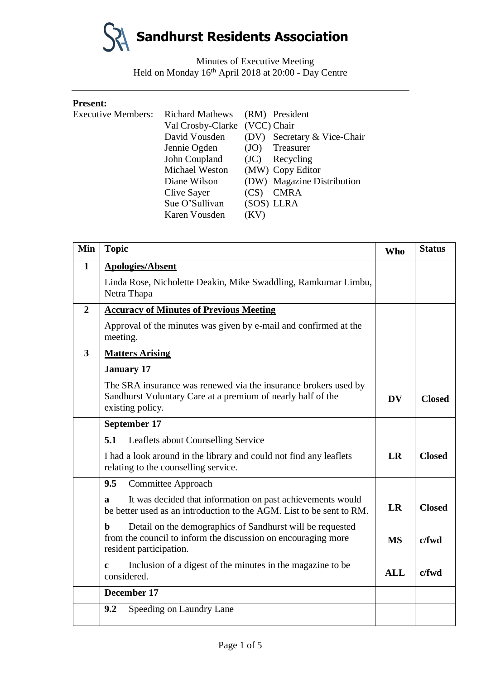

| <b>Present:</b>           |                        |             |                             |
|---------------------------|------------------------|-------------|-----------------------------|
| <b>Executive Members:</b> | <b>Richard Mathews</b> |             | (RM) President              |
|                           | Val Crosby-Clarke      | (VCC) Chair |                             |
|                           | David Vousden          |             | (DV) Secretary & Vice-Chair |
|                           | Jennie Ogden           | (JO)        | Treasurer                   |
|                           | John Coupland          | (JC)        | Recycling                   |
|                           | Michael Weston         |             | (MW) Copy Editor            |
|                           | Diane Wilson           |             | (DW) Magazine Distribution  |
|                           | Clive Sayer            | (CS)        | <b>CMRA</b>                 |
|                           | Sue O'Sullivan         |             | (SOS) LLRA                  |
|                           | Karen Vousden          | (KV)        |                             |

| <b>Min</b>              | <b>Topic</b>                                                                                                                                               | <b>Who</b> | <b>Status</b> |
|-------------------------|------------------------------------------------------------------------------------------------------------------------------------------------------------|------------|---------------|
| $\mathbf{1}$            | <b>Apologies/Absent</b>                                                                                                                                    |            |               |
|                         | Linda Rose, Nicholette Deakin, Mike Swaddling, Ramkumar Limbu,<br>Netra Thapa                                                                              |            |               |
| $\overline{2}$          | <b>Accuracy of Minutes of Previous Meeting</b>                                                                                                             |            |               |
|                         | Approval of the minutes was given by e-mail and confirmed at the<br>meeting.                                                                               |            |               |
| $\overline{\mathbf{3}}$ | <b>Matters Arising</b>                                                                                                                                     |            |               |
|                         | <b>January 17</b>                                                                                                                                          |            |               |
|                         | The SRA insurance was renewed via the insurance brokers used by<br>Sandhurst Voluntary Care at a premium of nearly half of the<br>existing policy.         | <b>DV</b>  | <b>Closed</b> |
|                         | September 17                                                                                                                                               |            |               |
|                         | 5.1<br>Leaflets about Counselling Service                                                                                                                  |            |               |
|                         | I had a look around in the library and could not find any leaflets<br>relating to the counselling service.                                                 | LR         | <b>Closed</b> |
|                         | 9.5<br>Committee Approach                                                                                                                                  |            |               |
|                         | It was decided that information on past achievements would<br>a<br>be better used as an introduction to the AGM. List to be sent to RM.                    | <b>LR</b>  | <b>Closed</b> |
|                         | Detail on the demographics of Sandhurst will be requested<br>b<br>from the council to inform the discussion on encouraging more<br>resident participation. | <b>MS</b>  | $c$ fwd       |
|                         | Inclusion of a digest of the minutes in the magazine to be<br>$\mathbf c$<br>considered.                                                                   | <b>ALL</b> | c/fwd         |
|                         | December 17                                                                                                                                                |            |               |
|                         | 9.2<br>Speeding on Laundry Lane                                                                                                                            |            |               |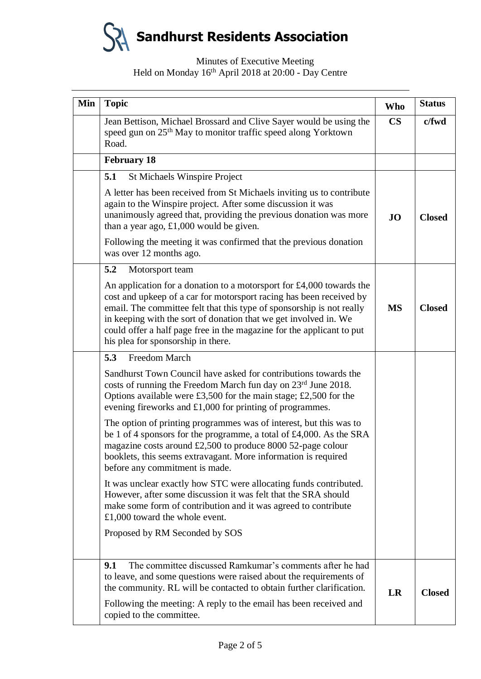

| Min | <b>Topic</b>                                                                                                                                                                                                                                                                                                                                                                                              | <b>Who</b>    | <b>Status</b> |
|-----|-----------------------------------------------------------------------------------------------------------------------------------------------------------------------------------------------------------------------------------------------------------------------------------------------------------------------------------------------------------------------------------------------------------|---------------|---------------|
|     | Jean Bettison, Michael Brossard and Clive Sayer would be using the<br>speed gun on 25 <sup>th</sup> May to monitor traffic speed along Yorktown<br>Road.                                                                                                                                                                                                                                                  | $\mathbf{CS}$ | c/fwd         |
|     | <b>February 18</b>                                                                                                                                                                                                                                                                                                                                                                                        |               |               |
|     | 5.1<br><b>St Michaels Winspire Project</b>                                                                                                                                                                                                                                                                                                                                                                |               |               |
|     | A letter has been received from St Michaels inviting us to contribute<br>again to the Winspire project. After some discussion it was<br>unanimously agreed that, providing the previous donation was more<br>than a year ago, $\pounds1,000$ would be given.                                                                                                                                              | <b>JO</b>     | <b>Closed</b> |
|     | Following the meeting it was confirmed that the previous donation<br>was over 12 months ago.                                                                                                                                                                                                                                                                                                              |               |               |
|     | 5.2<br>Motorsport team                                                                                                                                                                                                                                                                                                                                                                                    |               |               |
|     | An application for a donation to a motorsport for $£4,000$ towards the<br>cost and upkeep of a car for motorsport racing has been received by<br>email. The committee felt that this type of sponsorship is not really<br>in keeping with the sort of donation that we get involved in. We<br>could offer a half page free in the magazine for the applicant to put<br>his plea for sponsorship in there. | <b>MS</b>     | <b>Closed</b> |
|     | 5.3<br>Freedom March                                                                                                                                                                                                                                                                                                                                                                                      |               |               |
|     | Sandhurst Town Council have asked for contributions towards the<br>costs of running the Freedom March fun day on 23 <sup>rd</sup> June 2018.<br>Options available were £3,500 for the main stage; £2,500 for the<br>evening fireworks and $£1,000$ for printing of programmes.                                                                                                                            |               |               |
|     | The option of printing programmes was of interest, but this was to<br>be 1 of 4 sponsors for the programme, a total of £4,000. As the SRA<br>magazine costs around £2,500 to produce 8000 52-page colour<br>booklets, this seems extravagant. More information is required<br>before any commitment is made.                                                                                              |               |               |
|     | It was unclear exactly how STC were allocating funds contributed.<br>However, after some discussion it was felt that the SRA should<br>make some form of contribution and it was agreed to contribute<br>£1,000 toward the whole event.                                                                                                                                                                   |               |               |
|     | Proposed by RM Seconded by SOS                                                                                                                                                                                                                                                                                                                                                                            |               |               |
|     | The committee discussed Ramkumar's comments after he had<br>9.1<br>to leave, and some questions were raised about the requirements of<br>the community. RL will be contacted to obtain further clarification.                                                                                                                                                                                             | LR            | <b>Closed</b> |
|     | Following the meeting: A reply to the email has been received and<br>copied to the committee.                                                                                                                                                                                                                                                                                                             |               |               |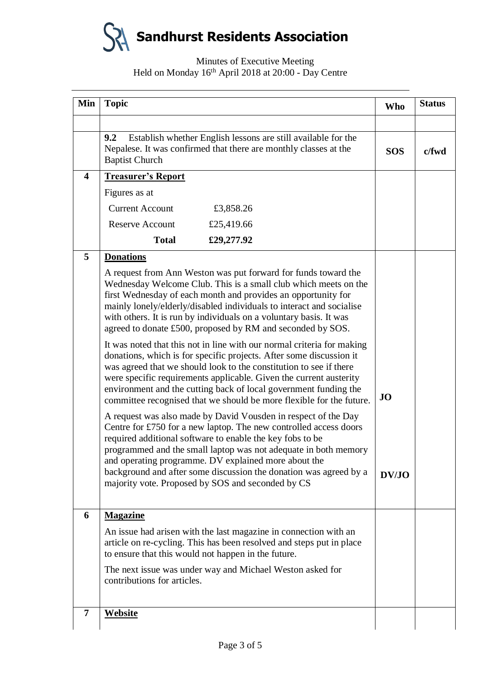**Sandhurst Residents Association**

| Min                     | <b>Topic</b>                                                                                                                                                                                                                                                                                                                                                                                                                          |                                                                                                                                                                                                                                                                                                                                                                                                                                                       | <b>Who</b> | <b>Status</b> |
|-------------------------|---------------------------------------------------------------------------------------------------------------------------------------------------------------------------------------------------------------------------------------------------------------------------------------------------------------------------------------------------------------------------------------------------------------------------------------|-------------------------------------------------------------------------------------------------------------------------------------------------------------------------------------------------------------------------------------------------------------------------------------------------------------------------------------------------------------------------------------------------------------------------------------------------------|------------|---------------|
|                         | 9.2<br>Establish whether English lessons are still available for the<br>Nepalese. It was confirmed that there are monthly classes at the<br><b>Baptist Church</b>                                                                                                                                                                                                                                                                     |                                                                                                                                                                                                                                                                                                                                                                                                                                                       | <b>SOS</b> | c/fwd         |
| $\overline{\mathbf{4}}$ | <b>Treasurer's Report</b>                                                                                                                                                                                                                                                                                                                                                                                                             |                                                                                                                                                                                                                                                                                                                                                                                                                                                       |            |               |
|                         | Figures as at                                                                                                                                                                                                                                                                                                                                                                                                                         |                                                                                                                                                                                                                                                                                                                                                                                                                                                       |            |               |
|                         | <b>Current Account</b>                                                                                                                                                                                                                                                                                                                                                                                                                | £3,858.26                                                                                                                                                                                                                                                                                                                                                                                                                                             |            |               |
|                         | <b>Reserve Account</b>                                                                                                                                                                                                                                                                                                                                                                                                                | £25,419.66                                                                                                                                                                                                                                                                                                                                                                                                                                            |            |               |
|                         | <b>Total</b>                                                                                                                                                                                                                                                                                                                                                                                                                          | £29,277.92                                                                                                                                                                                                                                                                                                                                                                                                                                            |            |               |
| 5                       | <b>Donations</b>                                                                                                                                                                                                                                                                                                                                                                                                                      |                                                                                                                                                                                                                                                                                                                                                                                                                                                       |            |               |
|                         |                                                                                                                                                                                                                                                                                                                                                                                                                                       | A request from Ann Weston was put forward for funds toward the<br>Wednesday Welcome Club. This is a small club which meets on the<br>first Wednesday of each month and provides an opportunity for<br>mainly lonely/elderly/disabled individuals to interact and socialise<br>with others. It is run by individuals on a voluntary basis. It was<br>agreed to donate £500, proposed by RM and seconded by SOS.                                        |            |               |
|                         | It was noted that this not in line with our normal criteria for making<br>donations, which is for specific projects. After some discussion it<br>was agreed that we should look to the constitution to see if there<br>were specific requirements applicable. Given the current austerity<br>environment and the cutting back of local government funding the<br>committee recognised that we should be more flexible for the future. |                                                                                                                                                                                                                                                                                                                                                                                                                                                       |            |               |
|                         |                                                                                                                                                                                                                                                                                                                                                                                                                                       | A request was also made by David Vousden in respect of the Day<br>Centre for £750 for a new laptop. The new controlled access doors<br>required additional software to enable the key fobs to be<br>programmed and the small laptop was not adequate in both memory<br>and operating programme. DV explained more about the<br>background and after some discussion the donation was agreed by a<br>majority vote. Proposed by SOS and seconded by CS | DV/JO      |               |
| 6                       | <b>Magazine</b>                                                                                                                                                                                                                                                                                                                                                                                                                       |                                                                                                                                                                                                                                                                                                                                                                                                                                                       |            |               |
|                         |                                                                                                                                                                                                                                                                                                                                                                                                                                       | An issue had arisen with the last magazine in connection with an<br>article on re-cycling. This has been resolved and steps put in place<br>to ensure that this would not happen in the future.                                                                                                                                                                                                                                                       |            |               |
|                         | contributions for articles.                                                                                                                                                                                                                                                                                                                                                                                                           | The next issue was under way and Michael Weston asked for                                                                                                                                                                                                                                                                                                                                                                                             |            |               |
| 7                       | <b>Website</b>                                                                                                                                                                                                                                                                                                                                                                                                                        |                                                                                                                                                                                                                                                                                                                                                                                                                                                       |            |               |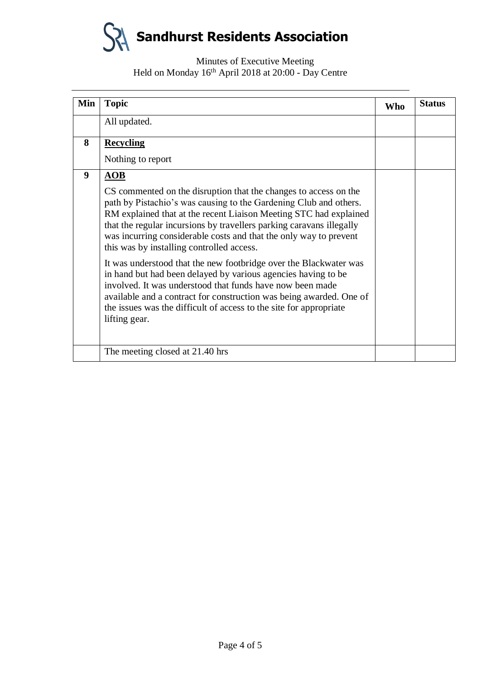**Sandhurst Residents Association**

| Min              | <b>Topic</b>                                                                                                                                                                                                                                                                                                                                                                                         | Who | <b>Status</b> |
|------------------|------------------------------------------------------------------------------------------------------------------------------------------------------------------------------------------------------------------------------------------------------------------------------------------------------------------------------------------------------------------------------------------------------|-----|---------------|
|                  | All updated.                                                                                                                                                                                                                                                                                                                                                                                         |     |               |
| 8                | <b>Recycling</b>                                                                                                                                                                                                                                                                                                                                                                                     |     |               |
|                  | Nothing to report                                                                                                                                                                                                                                                                                                                                                                                    |     |               |
| $\boldsymbol{9}$ | $\overline{AOB}$                                                                                                                                                                                                                                                                                                                                                                                     |     |               |
|                  | CS commented on the disruption that the changes to access on the<br>path by Pistachio's was causing to the Gardening Club and others.<br>RM explained that at the recent Liaison Meeting STC had explained<br>that the regular incursions by travellers parking caravans illegally<br>was incurring considerable costs and that the only way to prevent<br>this was by installing controlled access. |     |               |
|                  | It was understood that the new footbridge over the Blackwater was<br>in hand but had been delayed by various agencies having to be<br>involved. It was understood that funds have now been made<br>available and a contract for construction was being awarded. One of<br>the issues was the difficult of access to the site for appropriate<br>lifting gear.                                        |     |               |
|                  | The meeting closed at 21.40 hrs                                                                                                                                                                                                                                                                                                                                                                      |     |               |